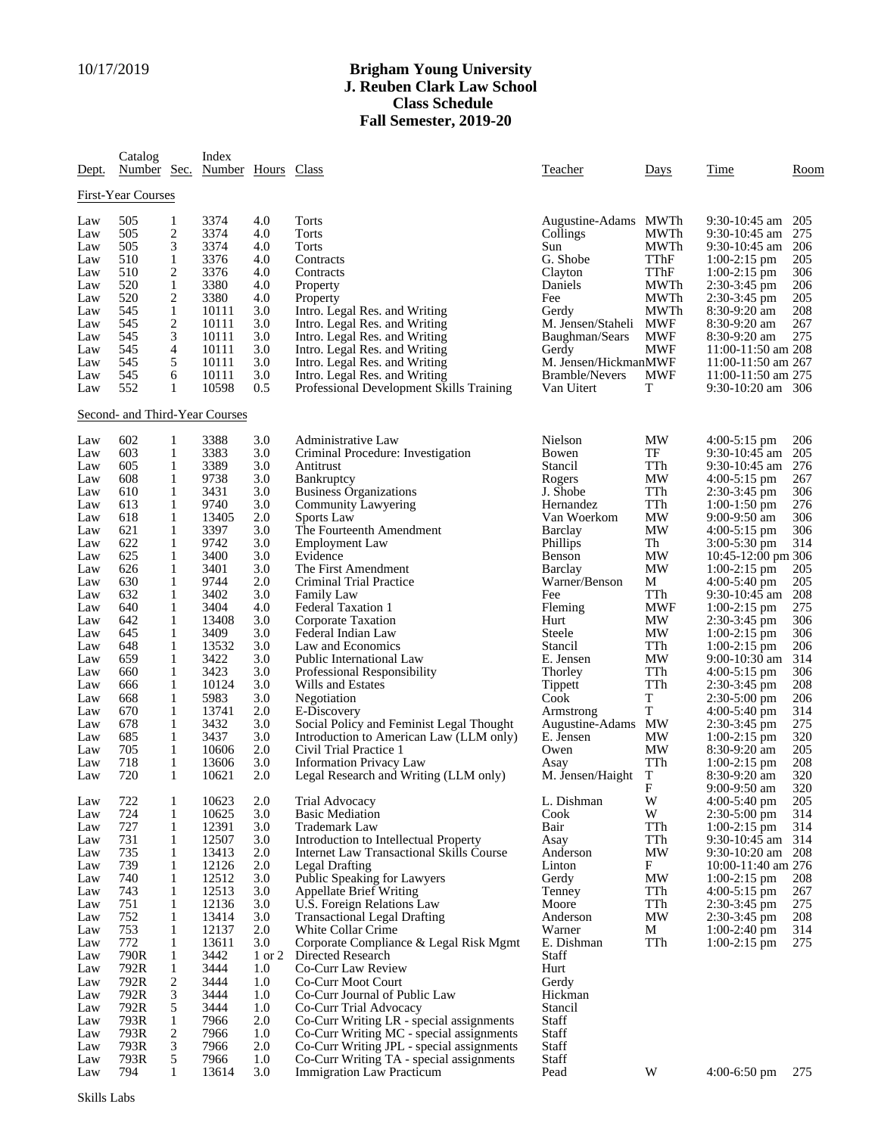## 10/17/2019 **Brigham Young University J. Reuben Clark Law School Class Schedule Fall Semester, 2019-20**

| Dept.              | Catalog<br>Number Sec.         |                   | Index<br>Number Hours |                   | Class                                                        | Teacher                            | Days                 | Time                                                  | Room              |  |
|--------------------|--------------------------------|-------------------|-----------------------|-------------------|--------------------------------------------------------------|------------------------------------|----------------------|-------------------------------------------------------|-------------------|--|
| First-Year Courses |                                |                   |                       |                   |                                                              |                                    |                      |                                                       |                   |  |
| Law<br>Law<br>Law  | 505<br>505<br>505              | 1<br>2<br>3       | 3374<br>3374<br>3374  | 4.0<br>4.0<br>4.0 | <b>Torts</b><br><b>Torts</b><br><b>Torts</b>                 | Augustine-Adams<br>Collings<br>Sun | MWTh<br>MWTh<br>MWTh | $9:30-10:45$ am<br>$9:30-10:45$ am<br>$9:30-10:45$ am | 205<br>275<br>206 |  |
| Law                | 510                            | 1                 | 3376                  | 4.0               | Contracts                                                    | G. Shobe                           | TThF                 | $1:00-2:15$ pm                                        | 205               |  |
| Law                | 510                            | 2                 | 3376                  | 4.0               | Contracts                                                    | Clayton                            | TThF                 | $1:00-2:15$ pm                                        | 306               |  |
| Law                | 520                            | 1                 | 3380                  | 4.0               | Property                                                     | Daniels                            | MWTh                 | $2:30-3:45$ pm                                        | 206               |  |
| Law                | 520                            | 2                 | 3380                  | 4.0               | Property                                                     | Fee                                | MWTh                 | $2:30-3:45$ pm                                        | 205               |  |
| Law                | 545                            | 1                 | 10111                 | 3.0               | Intro. Legal Res. and Writing                                | Gerdy                              | MWTh                 | $8:30-9:20$ am                                        | 208               |  |
| Law                | 545                            | 2                 | 10111                 | 3.0               | Intro. Legal Res. and Writing                                | M. Jensen/Staheli                  | <b>MWF</b>           | 8:30-9:20 am                                          | 267               |  |
| Law                | 545                            | 3                 | 10111                 | 3.0               | Intro. Legal Res. and Writing                                | Baughman/Sears                     | <b>MWF</b>           | $8:30-9:20$ am                                        | 275               |  |
| Law                | 545                            | 4                 | 10111                 | 3.0               | Intro. Legal Res. and Writing                                | Gerdy                              | <b>MWF</b>           | 11:00-11:50 am 208                                    |                   |  |
| Law                | 545                            | 5                 | 10111                 | 3.0               | Intro. Legal Res. and Writing                                | M. Jensen/HickmanMWF               |                      | 11:00-11:50 am 267                                    |                   |  |
| Law                | 545                            | 6                 | 10111                 | 3.0               | Intro. Legal Res. and Writing                                | <b>Bramble/Nevers</b>              | <b>MWF</b>           | 11:00-11:50 am 275                                    |                   |  |
| Law                | 552                            | 1                 | 10598                 | 0.5               | Professional Development Skills Training                     | Van Uitert                         | T                    | $9:30-10:20$ am $306$                                 |                   |  |
|                    | Second- and Third-Year Courses |                   |                       |                   |                                                              |                                    |                      |                                                       |                   |  |
| Law                | 602                            | 1                 | 3388                  | 3.0               | Administrative Law                                           | Nielson                            | MW                   | 4:00-5:15 pm                                          | 206               |  |
| Law                | 603                            | 1                 | 3383                  | 3.0               | Criminal Procedure: Investigation                            | Bowen                              | TF                   | 9:30-10:45 am                                         | 205               |  |
| Law                | 605                            | 1                 | 3389                  | 3.0               | Antitrust                                                    | Stancil                            | TTh                  | $9:30-10:45$ am                                       | 276               |  |
| Law                | 608                            | 1                 | 9738                  | 3.0               | Bankruptcy                                                   | Rogers                             | MW                   | $4:00-5:15$ pm                                        | 267               |  |
| Law                | 610                            | 1                 | 3431                  | 3.0               | <b>Business Organizations</b>                                | J. Shobe                           | TTh                  | $2:30-3:45$ pm                                        | 306               |  |
| Law                | 613                            | 1                 | 9740                  | 3.0               | Community Lawyering                                          | Hernandez                          | TTh                  | $1:00-1:50$ pm                                        | 276               |  |
| Law                | 618                            | 1                 | 13405                 | 2.0               | Sports Law                                                   | Van Woerkom                        | MW                   | $9:00-9:50$ am                                        | 306               |  |
| Law                | 621                            | 1                 | 3397                  | 3.0               | The Fourteenth Amendment                                     | <b>Barclay</b>                     | MW                   | $4:00-5:15$ pm                                        | 306               |  |
| Law<br>Law         | 622<br>625                     | 1<br>1            | 9742<br>3400          | 3.0<br>3.0        | <b>Employment Law</b><br>Evidence                            | Phillips<br>Benson                 | Th<br>MW             | $3:00-5:30$ pm<br>10:45-12:00 pm 306                  | 314               |  |
| Law                | 626                            | 1                 | 3401                  | 3.0               | The First Amendment                                          | <b>Barclay</b>                     | <b>MW</b>            | $1:00-2:15$ pm                                        | 205               |  |
| Law                | 630                            | 1                 | 9744                  | 2.0               | Criminal Trial Practice                                      | Warner/Benson                      | М                    | $4:00-5:40$ pm                                        | 205               |  |
| Law                | 632                            | 1                 | 3402                  | 3.0               | <b>Family Law</b>                                            | Fee                                | TTh                  | $9:30-10:45$ am                                       | 208               |  |
| Law                | 640                            | 1                 | 3404                  | 4.0               | <b>Federal Taxation 1</b>                                    | Fleming                            | <b>MWF</b>           | $1:00-2:15$ pm                                        | 275               |  |
| Law                | 642                            | 1                 | 13408                 | 3.0               | Corporate Taxation                                           | Hurt                               | MW                   | $2:30-3:45$ pm                                        | 306               |  |
| Law                | 645                            | 1                 | 3409                  | 3.0               | Federal Indian Law                                           | Steele                             | MW                   | $1:00-2:15$ pm                                        | 306               |  |
| Law                | 648                            | 1                 | 13532                 | 3.0               | Law and Economics                                            | Stancil                            | TTh                  | $1:00-2:15$ pm                                        | 206               |  |
| Law                | 659                            | 1                 | 3422                  | 3.0               | Public International Law                                     | E. Jensen                          | MW                   | $9:00-10:30$ am                                       | 314               |  |
| Law                | 660                            | 1                 | 3423                  | 3.0               | Professional Responsibility                                  | Thorley                            | TTh                  | $4:00-5:15$ pm                                        | 306               |  |
| Law                | 666                            | 1                 | 10124                 | 3.0               | Wills and Estates                                            | Tippett                            | TTh                  | $2:30-3:45$ pm                                        | 208               |  |
| Law                | 668                            | 1                 | 5983                  | 3.0               | Negotiation                                                  | Cook                               | T                    | $2:30-5:00$ pm                                        | 206               |  |
| Law                | 670                            | 1                 | 13741                 | 2.0               | E-Discovery                                                  | Armstrong                          | T                    | $4:00-5:40$ pm                                        | 314               |  |
| Law                | 678                            | 1                 | 3432                  | 3.0               | Social Policy and Feminist Legal Thought                     | Augustine-Adams                    | MW                   | $2:30-3:45$ pm                                        | 275               |  |
| Law                | 685                            | 1                 | 3437                  | 3.0               | Introduction to American Law (LLM only)                      | E. Jensen                          | MW                   | $1:00-2:15$ pm                                        | 320               |  |
| Law<br>Law         | 705<br>718                     | 1<br>1            | 10606<br>13606        | 2.0<br>3.0        | Civil Trial Practice 1<br><b>Information Privacy Law</b>     | Owen                               | MW<br>TTh            | 8:30-9:20 am                                          | 205<br>208        |  |
| Law                | 720                            | 1                 | 10621                 | 2.0               | Legal Research and Writing (LLM only)                        | Asay<br>M. Jensen/Haight           | T                    | $1:00-2:15$ pm<br>8:30-9:20 am                        | 320               |  |
|                    |                                |                   |                       |                   |                                                              |                                    | F                    | 9:00-9:50 am                                          | 320               |  |
| Law                | 722                            | 1                 | 10623                 | 2.0               | Trial Advocacy                                               | L. Dishman                         | W                    | $4:00-5:40$ pm                                        | 205               |  |
| Law                | 724                            | $\mathbf{1}$      | 10625                 | 3.0               | <b>Basic Mediation</b>                                       | Cook                               | W                    | $2:30-5:00$ pm                                        | 314               |  |
| Law                | 727                            | 1                 | 12391                 | 3.0               | <b>Trademark Law</b>                                         | Bair                               | TTh                  | $1:00-2:15$ pm                                        | 314               |  |
| Law                | 731                            | 1                 | 12507                 | 3.0               | Introduction to Intellectual Property                        | Asay                               | TTh                  | 9:30-10:45 am $314$                                   |                   |  |
| Law                | 735                            | 1                 | 13413                 | 2.0               | Internet Law Transactional Skills Course                     | Anderson                           | MW                   | 9:30-10:20 am 208                                     |                   |  |
| Law                | 739                            | 1                 | 12126                 | 2.0               | Legal Drafting                                               | Linton                             | F                    | 10:00-11:40 am 276                                    |                   |  |
| Law                | 740                            | 1                 | 12512                 | 3.0               | Public Speaking for Lawyers                                  | Gerdy                              | MW                   | $1:00-2:15$ pm                                        | 208               |  |
| Law<br>Law         | 743<br>751                     | $\mathbf{1}$<br>1 | 12513<br>12136        | 3.0<br>3.0        | <b>Appellate Brief Writing</b><br>U.S. Foreign Relations Law | Tenney<br>Moore                    | TTh<br>TTh           | $4:00-5:15$ pm<br>$2:30-3:45$ pm                      | 267<br>275        |  |
| Law                | 752                            | 1                 | 13414                 | 3.0               | <b>Transactional Legal Drafting</b>                          | Anderson                           | MW                   | $2:30-3:45$ pm                                        | 208               |  |
| Law                | 753                            | 1                 | 12137                 | 2.0               | White Collar Crime                                           | Warner                             | M                    | $1:00-2:40$ pm                                        | 314               |  |
| Law                | 772                            | $\mathbf{1}$      | 13611                 | 3.0               | Corporate Compliance & Legal Risk Mgmt                       | E. Dishman                         | TTh                  | $1:00-2:15$ pm                                        | 275               |  |
| Law                | 790R                           | 1                 | 3442                  | 1 or 2            | Directed Research                                            | Staff                              |                      |                                                       |                   |  |
| Law                | 792R                           | $\mathbf{1}$      | 3444                  | 1.0               | Co-Curr Law Review                                           | Hurt                               |                      |                                                       |                   |  |
| Law                | 792R                           | 2                 | 3444                  | 1.0               | Co-Curr Moot Court                                           | Gerdy                              |                      |                                                       |                   |  |
| Law                | 792R                           | 3                 | 3444                  | 1.0               | Co-Curr Journal of Public Law                                | Hickman                            |                      |                                                       |                   |  |
| Law                | 792R                           | 5                 | 3444                  | 1.0               | Co-Curr Trial Advocacy                                       | Stancil                            |                      |                                                       |                   |  |
| Law                | 793R                           | $\mathbf{1}$      | 7966                  | 2.0               | Co-Curr Writing LR - special assignments                     | Staff                              |                      |                                                       |                   |  |
| Law                | 793R                           | 2                 | 7966                  | 1.0               | Co-Curr Writing MC - special assignments                     | Staff                              |                      |                                                       |                   |  |
| Law                | 793R                           | 3                 | 7966                  | 2.0               | Co-Curr Writing JPL - special assignments                    | Staff                              |                      |                                                       |                   |  |
| Law                | 793R                           | 5                 | 7966                  | 1.0               | Co-Curr Writing TA - special assignments                     | Staff                              |                      |                                                       |                   |  |
| Law                | 794                            | $\mathbf{1}$      | 13614                 | 3.0               | Immigration Law Practicum                                    | Pead                               | W                    | $4:00-6:50$ pm                                        | 275               |  |